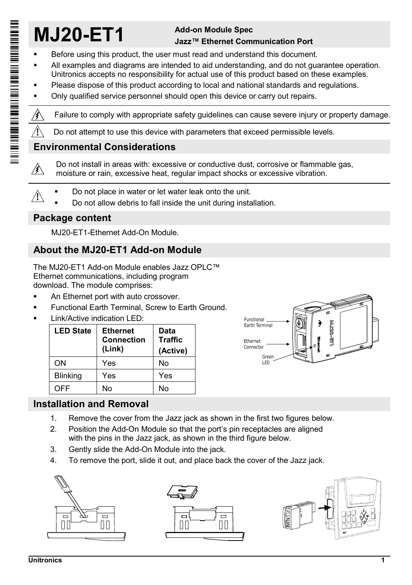# **MJ20-ET1 Add-on Module Spec**

# **Jazz™ Ethernet Communication Port**

- Before using this product, the user must read and understand this document.
- All examples and diagrams are intended to aid understanding, and do not guarantee operation. Unitronics accepts no responsibility for actual use of this product based on these examples.
- Please dispose of this product according to local and national standards and regulations.
- Only qualified service personnel should open this device or carry out repairs.

 $\hat{\mathcal{E}}$ Failure to comply with appropriate safety guidelines can cause severe injury or property damage.

Do not attempt to use this device with parameters that exceed permissible levels.

## **Environmental Considerations**

Do not install in areas with: excessive or conductive dust, corrosive or flammable gas, ∕∤∖ moisture or rain, excessive heat, regular impact shocks or excessive vibration.

- Do not place in water or let water leak onto the unit. ∕Ւ
	- Do not allow debris to fall inside the unit during installation.

### **Package content**

MJ20-ET1-Ethernet Add-On Module.

# **About the MJ20-ET1 Add-on Module**

The MJ20-ET1 Add-on Module enables Jazz OPLC™ Ethernet communications, including program download. The module comprises:

- An Ethernet port with auto crossover.
- Functional Earth Terminal, Screw to Earth Ground.
- Link/Active indication LED:

| <b>LED State</b> | <b>Ethernet</b><br><b>Connection</b><br>(Link) | Data<br><b>Traffic</b><br>(Active) |
|------------------|------------------------------------------------|------------------------------------|
| OΝ               | Yes                                            | No                                 |
| <b>Blinking</b>  | Yes                                            | Yes                                |
| OFF              | N٥                                             | No                                 |



## **Installation and Removal**

- 1. Remove the cover from the Jazz jack as shown in the first two figures below.
- 2. Position the Add-On Module so that the port's pin receptacles are aligned with the pins in the Jazz jack, as shown in the third figure below.
- 3. Gently slide the Add-On Module into the jack.
- 4. To remove the port, slide it out, and place back the cover of the Jazz jack.